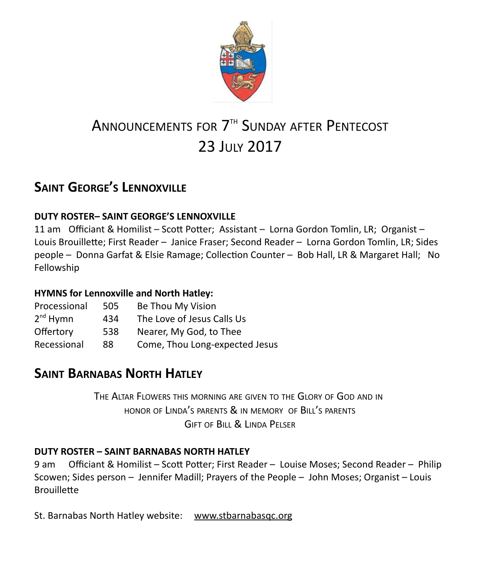

# ANNOUNCEMENTS FOR 7<sup>TH</sup> SUNDAY AFTER PENTECOST 23 July 2017

# **SAINT GEORGE'S LENNOXVILLE**

#### **DUTY ROSTER– SAINT GEORGE'S LENNOXVILLE**

11 am Officiant & Homilist – Scott Potter; Assistant – Lorna Gordon Tomlin, LR; Organist – Louis Brouillette; First Reader – Janice Fraser; Second Reader – Lorna Gordon Tomlin, LR; Sides people – Donna Garfat & Elsie Ramage; Collection Counter – Bob Hall, LR & Margaret Hall; No Fellowship

#### **HYMNS for Lennoxville and North Hatley:**

| Processional         | 505 | Be Thou My Vision              |
|----------------------|-----|--------------------------------|
| 2 <sup>nd</sup> Hymn | 434 | The Love of Jesus Calls Us     |
| Offertory            | 538 | Nearer, My God, to Thee        |
| Recessional          | 88  | Come, Thou Long-expected Jesus |

# **SAINT BARNABAS NORTH HATLEY**

THE ALTAR FLOWERS THIS MORNING ARE GIVEN TO THE GLORY OF GOD AND IN HONOR OF LINDA'S PARENTS & IN MEMORY OF BILL'S PARENTS GIFT OF BILL & LINDA PELSER

#### **DUTY ROSTER – SAINT BARNABAS NORTH HATLEY**

9 am Officiant & Homilist – Scott Potter; First Reader – Louise Moses; Second Reader – Philip Scowen; Sides person – Jennifer Madill; Prayers of the People – John Moses; Organist – Louis **Brouillette** 

St. Barnabas North Hatley website: [www.stbarnabasqc.org](https://webmail.ubishops.ca/owa/redir.aspx?REF=0vV84iQWktbgou41-Q7x-hpuWc0un25Lg32_cT3pE_mXa77B8czTCAFodHRwOi8vd3d3LnN0YmFybmFiYXNxYy5vcmc.)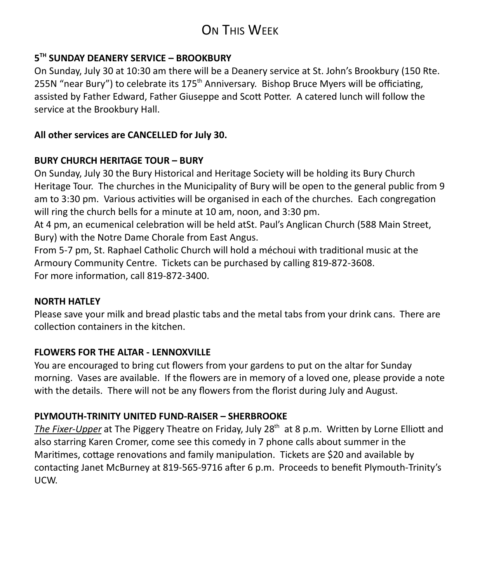# **ON THIS WEEK**

#### **5 TH SUNDAY DEANERY SERVICE – BROOKBURY**

On Sunday, July 30 at 10:30 am there will be a Deanery service at St. John's Brookbury (150 Rte. 255N "near Bury") to celebrate its 175<sup>th</sup> Anniversary. Bishop Bruce Myers will be officiating, assisted by Father Edward, Father Giuseppe and Scott Potter. A catered lunch will follow the service at the Brookbury Hall.

#### **All other services are CANCELLED for July 30.**

#### **BURY CHURCH HERITAGE TOUR – BURY**

On Sunday, July 30 the Bury Historical and Heritage Society will be holding its Bury Church Heritage Tour. The churches in the Municipality of Bury will be open to the general public from 9 am to 3:30 pm. Various activities will be organised in each of the churches. Each congregation will ring the church bells for a minute at 10 am, noon, and 3:30 pm.

At 4 pm, an ecumenical celebration will be held atSt. Paul's Anglican Church (588 Main Street, Bury) with the Notre Dame Chorale from East Angus.

From 5-7 pm, St. Raphael Catholic Church will hold a méchoui with traditional music at the Armoury Community Centre. Tickets can be purchased by calling 819-872-3608. For more information, call 819-872-3400.

#### **NORTH HATLEY**

Please save your milk and bread plastic tabs and the metal tabs from your drink cans. There are collection containers in the kitchen.

#### **FLOWERS FOR THE ALTAR - LENNOXVILLE**

You are encouraged to bring cut flowers from your gardens to put on the altar for Sunday morning. Vases are available. If the flowers are in memory of a loved one, please provide a note with the details. There will not be any flowers from the florist during July and August.

#### **PLYMOUTH-TRINITY UNITED FUND-RAISER – SHERBROOKE**

The Fixer-Upper at The Piggery Theatre on Friday, July 28<sup>th</sup> at 8 p.m. Written by Lorne Elliott and also starring Karen Cromer, come see this comedy in 7 phone calls about summer in the Maritimes, cottage renovations and family manipulation. Tickets are \$20 and available by contacting Janet McBurney at 819-565-9716 after 6 p.m. Proceeds to benefit Plymouth-Trinity's UCW.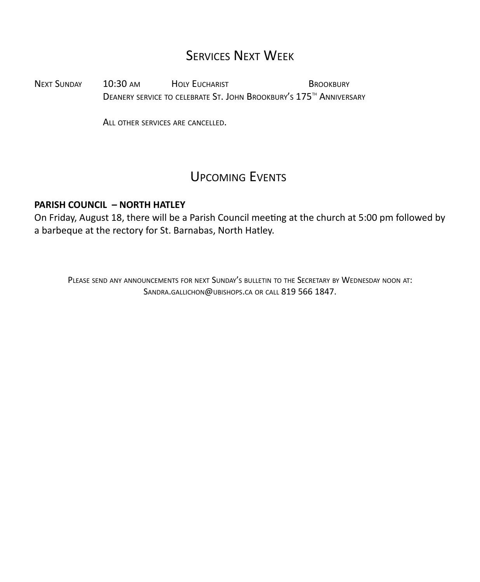# SERVICES NEXT WEEK

NEXT SUNDAY 10:30 AM HOLY EUCHARIST BROOKBURY DEANERY SERVICE TO CELEBRATE ST. JOHN BROOKBURY'S 175<sup>TH</sup> ANNIVERSARY

ALL OTHER SERVICES ARE CANCELLED.

# UPCOMING EVENTS

#### **PARISH COUNCIL – NORTH HATLEY**

On Friday, August 18, there will be a Parish Council meeting at the church at 5:00 pm followed by a barbeque at the rectory for St. Barnabas, North Hatley.

PLEASE SEND ANY ANNOUNCEMENTS FOR NEXT SUNDAY'S BULLETIN TO THE SECRETARY BY WEDNESDAY NOON AT: SANDRA.GALLICHON@UBISHOPS.CA OR CALL 819 566 1847.